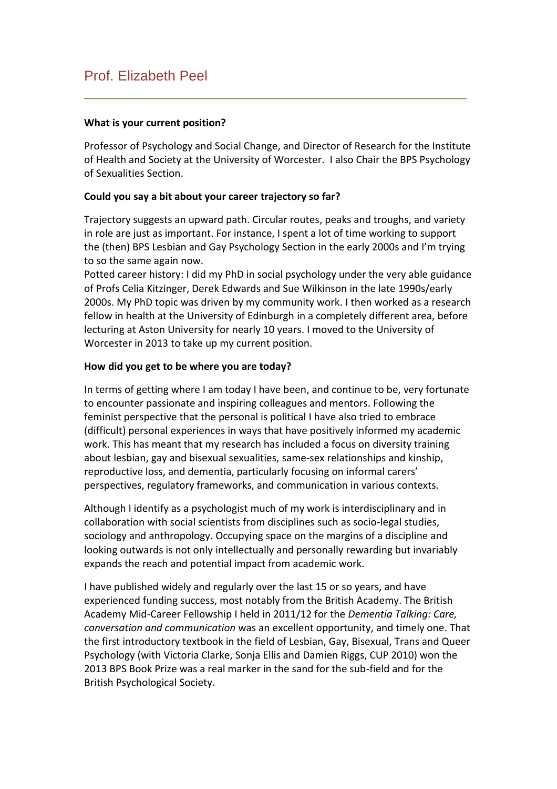# Prof. Elizabeth Peel

## **What is your current position?**

Professor of Psychology and Social Change, and Director of Research for the Institute of Health and Society at the University of Worcester. I also Chair the BPS Psychology of Sexualities Section.

\_\_\_\_\_\_\_\_\_\_\_\_\_\_\_\_\_\_\_\_\_\_\_\_\_\_\_\_\_\_\_\_\_\_\_\_\_\_\_\_\_\_\_\_\_\_\_\_\_

## **Could you say a bit about your career trajectory so far?**

Trajectory suggests an upward path. Circular routes, peaks and troughs, and variety in role are just as important. For instance, I spent a lot of time working to support the (then) BPS Lesbian and Gay Psychology Section in the early 2000s and I'm trying to so the same again now.

Potted career history: I did my PhD in social psychology under the very able guidance of Profs Celia Kitzinger, Derek Edwards and Sue Wilkinson in the late 1990s/early 2000s. My PhD topic was driven by my community work. I then worked as a research fellow in health at the University of Edinburgh in a completely different area, before lecturing at Aston University for nearly 10 years. I moved to the University of Worcester in 2013 to take up my current position.

#### **How did you get to be where you are today?**

In terms of getting where I am today I have been, and continue to be, very fortunate to encounter passionate and inspiring colleagues and mentors. Following the feminist perspective that the personal is political I have also tried to embrace (difficult) personal experiences in ways that have positively informed my academic work. This has meant that my research has included a focus on diversity training about lesbian, gay and bisexual sexualities, same-sex relationships and kinship, reproductive loss, and dementia, particularly focusing on informal carers' perspectives, regulatory frameworks, and communication in various contexts.

Although I identify as a psychologist much of my work is interdisciplinary and in collaboration with social scientists from disciplines such as socio-legal studies, sociology and anthropology. Occupying space on the margins of a discipline and looking outwards is not only intellectually and personally rewarding but invariably expands the reach and potential impact from academic work.

I have published widely and regularly over the last 15 or so years, and have experienced funding success, most notably from the British Academy. The British Academy Mid-Career Fellowship I held in 2011/12 for the *Dementia Talking: Care, conversation and communication* was an excellent opportunity, and timely one. That the first introductory textbook in the field of Lesbian, Gay, Bisexual, Trans and Queer Psychology (with Victoria Clarke, Sonja Ellis and Damien Riggs, CUP 2010) won the 2013 BPS Book Prize was a real marker in the sand for the sub-field and for the British Psychological Society.